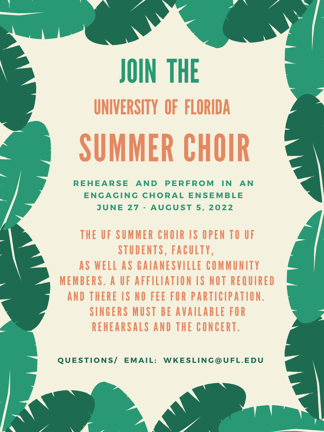THE UF SUMMER CHOIR IS OPEN TO UF STUDENTS, FACULTY, AS WELL AS GAIANESVILLE CO M E M BERS. A UF AFFILIATION IS NOT REQUIRED AND THERE IS NO FEE FOR PARTICIPATION. SINGERS MUST BE AVAILABLE FOR REHEARSALS AND THE CONCERT.

QUESTIONS/ EMAIL: WKESLING@UFL.EDU

## SUMMER CHOIR JOIN THE UNIVERSITY OF FLORIDA

**R E H E A R S E A N D PE R F R O M I N A N E N G A G I N G C H O R A L E N S E M B L E J U N E 2 7 - A U G U S T 5 , 2 0 2 2**